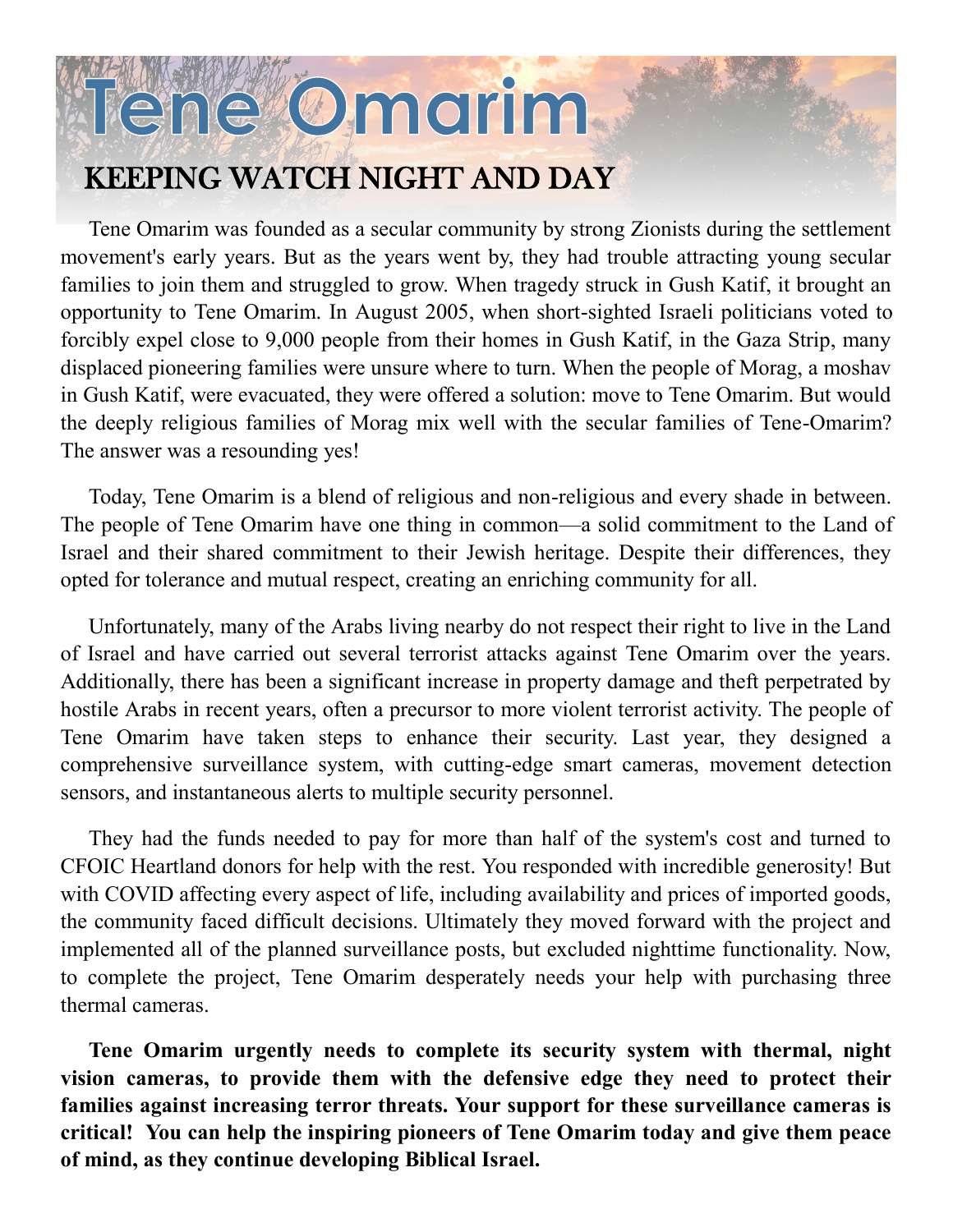## Tene Omarim KEEPING WATCH NIGHT AND DAY

Tene Omarim was founded as a secular community by strong Zionists during the settlement movement's early years. But as the years went by, they had trouble attracting young secular families to join them and struggled to grow. When tragedy struck in Gush Katif, it brought an opportunity to Tene Omarim. In August 2005, when short-sighted Israeli politicians voted to forcibly expel close to 9,000 people from their homes in Gush Katif, in the Gaza Strip, many displaced pioneering families were unsure where to turn. When the people of Morag, a moshav in Gush Katif, were evacuated, they were offered a solution: move to Tene Omarim. But would the deeply religious families of Morag mix well with the secular families of Tene-Omarim? The answer was a resounding yes!

Today, Tene Omarim is a blend of religious and non-religious and every shade in between. The people of Tene Omarim have one thing in common—a solid commitment to the Land of Israel and their shared commitment to their Jewish heritage. Despite their differences, they opted for tolerance and mutual respect, creating an enriching community for all.

Unfortunately, many of the Arabs living nearby do not respect their right to live in the Land of Israel and have carried out several terrorist attacks against Tene Omarim over the years. Additionally, there has been a significant increase in property damage and theft perpetrated by hostile Arabs in recent years, often a precursor to more violent terrorist activity. The people of Tene Omarim have taken steps to enhance their security. Last year, they designed a comprehensive surveillance system, with cutting-edge smart cameras, movement detection sensors, and instantaneous alerts to multiple security personnel.

They had the funds needed to pay for more than half of the system's cost and turned to CFOIC Heartland donors for help with the rest. You responded with incredible generosity! But with COVID affecting every aspect of life, including availability and prices of imported goods, the community faced difficult decisions. Ultimately they moved forward with the project and implemented all of the planned surveillance posts, but excluded nighttime functionality. Now, to complete the project, Tene Omarim desperately needs your help with purchasing three thermal cameras.

**Tene Omarim urgently needs to complete its security system with thermal, night vision cameras, to provide them with the defensive edge they need to protect their families against increasing terror threats. Your support for these surveillance cameras is critical! You can help the inspiring pioneers of Tene Omarim today and give them peace of mind, as they continue developing Biblical Israel.**